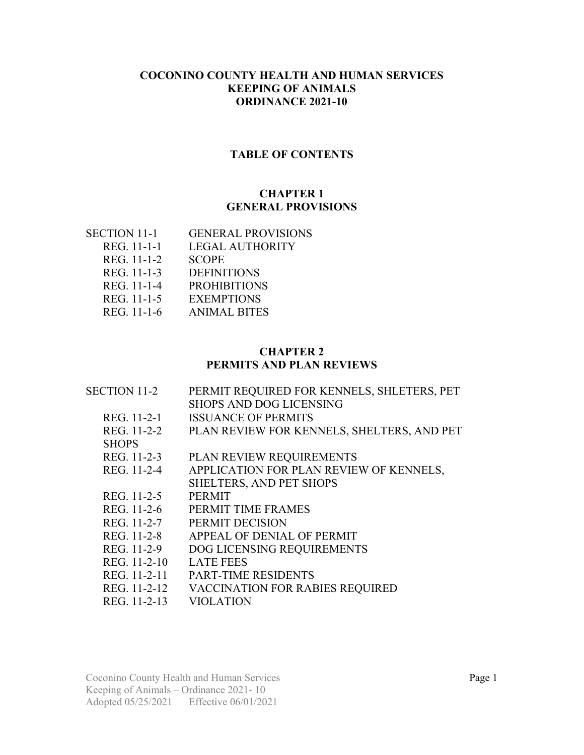#### **COCONINO COUNTY HEALTH AND HUMAN SERVICES KEEPING OF ANIMALS ORDINANCE 2021-10**

#### **TABLE OF CONTENTS**

#### **CHAPTER 1 GENERAL PROVISIONS**

| SECTION 11-1 | <b>GENERAL PROVISIONS</b> |
|--------------|---------------------------|
| REG. 11-1-1  | LEGAL AUTHORITY           |
| REG. 11-1-2  | <b>SCOPE</b>              |
| REG. 11-1-3  | <b>DEFINITIONS</b>        |
| REG. 11-1-4  | <b>PROHIBITIONS</b>       |
| REG. 11-1-5  | <b>EXEMPTIONS</b>         |
| REG. 11-1-6  | <b>ANIMAL BITES</b>       |
|              |                           |

#### **CHAPTER 2 PERMITS AND PLAN REVIEWS**

| <b>SECTION 11-2</b> | PERMIT REQUIRED FOR KENNELS, SHLETERS, PET |
|---------------------|--------------------------------------------|
|                     | <b>SHOPS AND DOG LICENSING</b>             |
| REG. 11-2-1         | <b>ISSUANCE OF PERMITS</b>                 |
| REG. 11-2-2         | PLAN REVIEW FOR KENNELS, SHELTERS, AND PET |
| <b>SHOPS</b>        |                                            |
| REG. 11-2-3         | PLAN REVIEW REQUIREMENTS                   |
| REG. 11-2-4         | APPLICATION FOR PLAN REVIEW OF KENNELS,    |
|                     | SHELTERS, AND PET SHOPS                    |
| REG. 11-2-5         | <b>PERMIT</b>                              |
| REG. 11-2-6         | PERMIT TIME FRAMES                         |
| REG. 11-2-7         | PERMIT DECISION                            |
| REG. 11-2-8         | APPEAL OF DENIAL OF PERMIT                 |
| REG. 11-2-9         | DOG LICENSING REQUIREMENTS                 |
| REG. 11-2-10        | <b>LATE FEES</b>                           |
| REG. 11-2-11        | <b>PART-TIME RESIDENTS</b>                 |
| REG. 11-2-12        | <b>VACCINATION FOR RABIES REQUIRED</b>     |
| REG. 11-2-13        | <b>VIOLATION</b>                           |

Coconino County Health and Human Services Page 1 Keeping of Animals – Ordinance 2021- 10 Adopted 05/25/2021 Effective 06/01/2021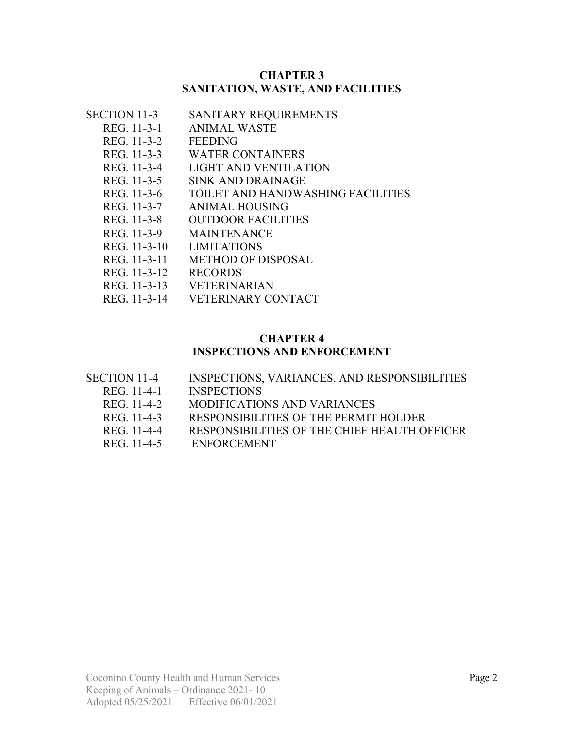#### **CHAPTER 3 SANITATION, WASTE, AND FACILITIES**

| SECTION 11-3 | SANITARY REQUIREMENTS |
|--------------|-----------------------|
| REG. 11-3-1  | ANIMAL WASTE          |
|              |                       |

- REG. 11-3-2 FEEDING
- REG. 11-3-3 WATER CONTAINERS
- REG. 11-3-4 LIGHT AND VENTILATION
- REG. 11-3-5 SINK AND DRAINAGE
- REG. 11-3-6 TOILET AND HANDWASHING FACILITIES<br>REG. 11-3-7 ANIMAL HOUSING
- ANIMAL HOUSING
- REG. 11-3-8 OUTDOOR FACILITIES
- REG. 11-3-9 MAINTENANCE
- REG. 11-3-10 LIMITATIONS
- REG. 11-3-11 METHOD OF DISPOSAL
- REG. 11-3-12 RECORDS
- REG. 11-3-13 VETERINARIAN
- REG. 11-3-14 VETERINARY CONTACT

#### **CHAPTER 4**

#### **INSPECTIONS AND ENFORCEMENT**

- SECTION 11-4 INSPECTIONS, VARIANCES, AND RESPONSIBILITIES
	- REG. 11-4-1 INSPECTIONS
	- REG. 11-4-2 MODIFICATIONS AND VARIANCES
	- REG. 11-4-3 RESPONSIBILITIES OF THE PERMIT HOLDER
	- REG. 11-4-4 RESPONSIBILITIES OF THE CHIEF HEALTH OFFICER
	- REG. 11-4-5 ENFORCEMENT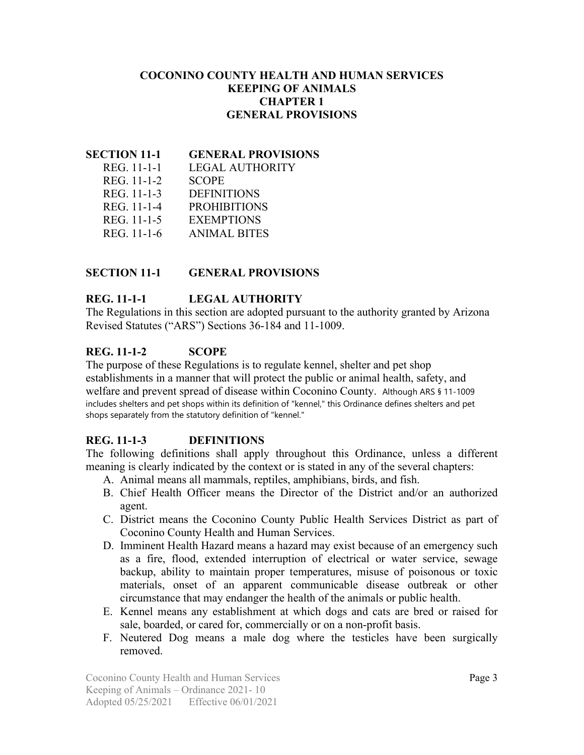#### **COCONINO COUNTY HEALTH AND HUMAN SERVICES KEEPING OF ANIMALS CHAPTER 1 GENERAL PROVISIONS**

#### **SECTION 11-1 GENERAL PROVISIONS**

| REG. 11-1-1 | LEGAL AUTHORITY     |
|-------------|---------------------|
| REG. 11-1-2 | <b>SCOPE</b>        |
| REG. 11-1-3 | <b>DEFINITIONS</b>  |
| REG. 11-1-4 | <b>PROHIBITIONS</b> |
| REG. 11-1-5 | <b>EXEMPTIONS</b>   |
| REG. 11-1-6 | <b>ANIMAL BITES</b> |

#### **SECTION 11-1 GENERAL PROVISIONS**

### **REG. 11-1-1 LEGAL AUTHORITY**

The Regulations in this section are adopted pursuant to the authority granted by Arizona Revised Statutes ("ARS") Sections 36-184 and 11-1009.

### **REG. 11-1-2 SCOPE**

The purpose of these Regulations is to regulate kennel, shelter and pet shop establishments in a manner that will protect the public or animal health, safety, and welfare and prevent spread of disease within Coconino County. Although ARS § 11-1009 includes shelters and pet shops within its definition of "kennel," this Ordinance defines shelters and pet shops separately from the statutory definition of "kennel."

## **REG. 11-1-3 DEFINITIONS**

The following definitions shall apply throughout this Ordinance, unless a different meaning is clearly indicated by the context or is stated in any of the several chapters:

- A. Animal means all mammals, reptiles, amphibians, birds, and fish.
- B. Chief Health Officer means the Director of the District and/or an authorized agent.
- C. District means the Coconino County Public Health Services District as part of Coconino County Health and Human Services.
- D. Imminent Health Hazard means a hazard may exist because of an emergency such as a fire, flood, extended interruption of electrical or water service, sewage backup, ability to maintain proper temperatures, misuse of poisonous or toxic materials, onset of an apparent communicable disease outbreak or other circumstance that may endanger the health of the animals or public health.
- E. Kennel means any establishment at which dogs and cats are bred or raised for sale, boarded, or cared for, commercially or on a non-profit basis.
- F. Neutered Dog means a male dog where the testicles have been surgically removed.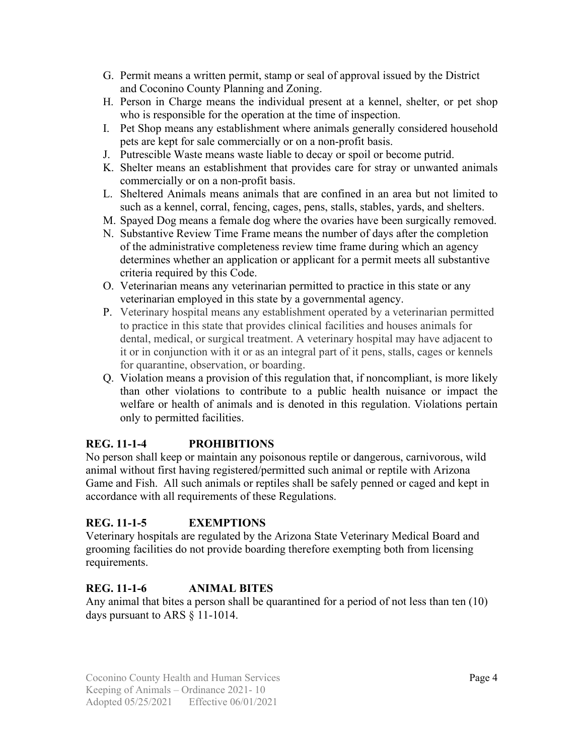- G. Permit means a written permit, stamp or seal of approval issued by the District and Coconino County Planning and Zoning.
- H. Person in Charge means the individual present at a kennel, shelter, or pet shop who is responsible for the operation at the time of inspection.
- I. Pet Shop means any establishment where animals generally considered household pets are kept for sale commercially or on a non-profit basis.
- J. Putrescible Waste means waste liable to decay or spoil or become putrid.
- K. Shelter means an establishment that provides care for stray or unwanted animals commercially or on a non-profit basis.
- L. Sheltered Animals means animals that are confined in an area but not limited to such as a kennel, corral, fencing, cages, pens, stalls, stables, yards, and shelters.
- M. Spayed Dog means a female dog where the ovaries have been surgically removed.
- N. Substantive Review Time Frame means the number of days after the completion of the administrative completeness review time frame during which an agency determines whether an application or applicant for a permit meets all substantive criteria required by this Code.
- O. Veterinarian means any veterinarian permitted to practice in this state or any veterinarian employed in this state by a governmental agency.
- P. Veterinary hospital means any establishment operated by a veterinarian permitted to practice in this state that provides clinical facilities and houses animals for dental, medical, or surgical treatment. A veterinary hospital may have adjacent to it or in conjunction with it or as an integral part of it pens, stalls, cages or kennels for quarantine, observation, or boarding.
- Q. Violation means a provision of this regulation that, if noncompliant, is more likely than other violations to contribute to a public health nuisance or impact the welfare or health of animals and is denoted in this regulation. Violations pertain only to permitted facilities.

## **REG. 11-1-4 PROHIBITIONS**

No person shall keep or maintain any poisonous reptile or dangerous, carnivorous, wild animal without first having registered/permitted such animal or reptile with Arizona Game and Fish. All such animals or reptiles shall be safely penned or caged and kept in accordance with all requirements of these Regulations.

## **REG. 11-1-5 EXEMPTIONS**

Veterinary hospitals are regulated by the Arizona State Veterinary Medical Board and grooming facilities do not provide boarding therefore exempting both from licensing requirements.

## **REG. 11-1-6 ANIMAL BITES**

Any animal that bites a person shall be quarantined for a period of not less than ten (10) days pursuant to ARS § 11-1014.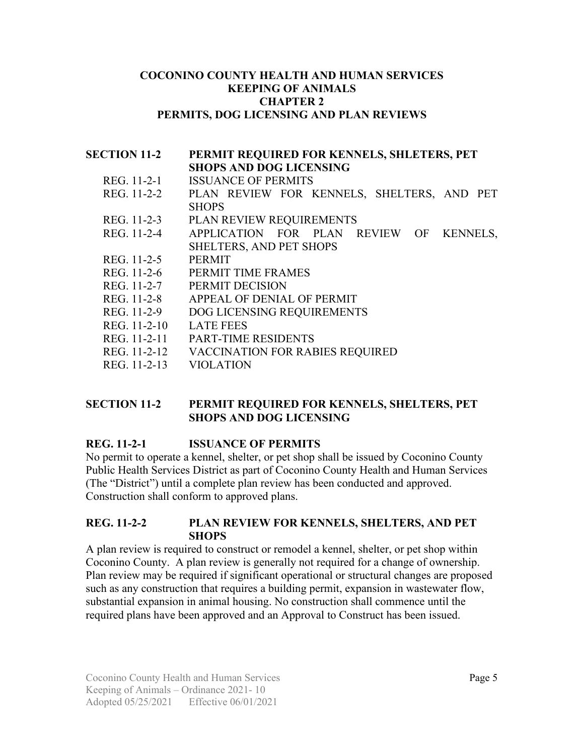#### **COCONINO COUNTY HEALTH AND HUMAN SERVICES KEEPING OF ANIMALS CHAPTER 2 PERMITS, DOG LICENSING AND PLAN REVIEWS**

### **SECTION 11-2 PERMIT REQUIRED FOR KENNELS, SHLETERS, PET SHOPS AND DOG LICENSING** REG. 11-2-1 ISSUANCE OF PERMITS REG. 11-2-2 PLAN REVIEW FOR KENNELS, SHELTERS, AND PET **SHOPS** REG. 11-2-3 PLAN REVIEW REQUIREMENTS REG. 11-2-4 APPLICATION FOR PLAN REVIEW OF KENNELS, SHELTERS, AND PET SHOPS REG. 11-2-5 PERMIT REG. 11-2-6 PERMIT TIME FRAMES REG. 11-2-7 PERMIT DECISION REG. 11-2-8 APPEAL OF DENIAL OF PERMIT REG. 11-2-9 DOG LICENSING REQUIREMENTS REG. 11-2-10 LATE FEES REG. 11-2-11 PART-TIME RESIDENTS REG. 11-2-12 VACCINATION FOR RABIES REQUIRED REG. 11-2-13 VIOLATION

#### **SECTION 11-2 PERMIT REQUIRED FOR KENNELS, SHELTERS, PET SHOPS AND DOG LICENSING**

#### **REG. 11-2-1 ISSUANCE OF PERMITS**

No permit to operate a kennel, shelter, or pet shop shall be issued by Coconino County Public Health Services District as part of Coconino County Health and Human Services (The "District") until a complete plan review has been conducted and approved. Construction shall conform to approved plans.

#### **REG. 11-2-2 PLAN REVIEW FOR KENNELS, SHELTERS, AND PET SHOPS**

A plan review is required to construct or remodel a kennel, shelter, or pet shop within Coconino County. A plan review is generally not required for a change of ownership. Plan review may be required if significant operational or structural changes are proposed such as any construction that requires a building permit, expansion in wastewater flow, substantial expansion in animal housing. No construction shall commence until the required plans have been approved and an Approval to Construct has been issued.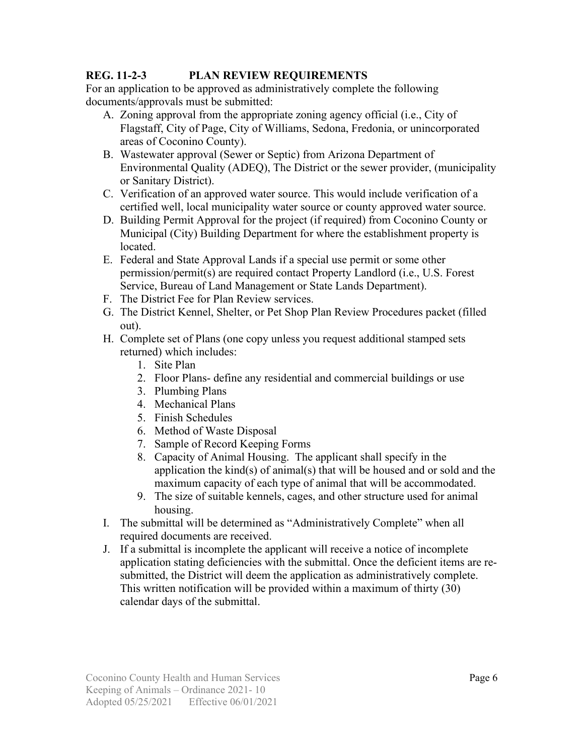### **REG. 11-2-3 PLAN REVIEW REQUIREMENTS**

For an application to be approved as administratively complete the following documents/approvals must be submitted:

- A. Zoning approval from the appropriate zoning agency official (i.e., City of Flagstaff, City of Page, City of Williams, Sedona, Fredonia, or unincorporated areas of Coconino County).
- B. Wastewater approval (Sewer or Septic) from Arizona Department of Environmental Quality (ADEQ), The District or the sewer provider, (municipality or Sanitary District).
- C. Verification of an approved water source. This would include verification of a certified well, local municipality water source or county approved water source.
- D. Building Permit Approval for the project (if required) from Coconino County or Municipal (City) Building Department for where the establishment property is located.
- E. Federal and State Approval Lands if a special use permit or some other permission/permit(s) are required contact Property Landlord (i.e., U.S. Forest Service, Bureau of Land Management or State Lands Department).
- F. The District Fee for Plan Review services.
- G. The District Kennel, Shelter, or Pet Shop Plan Review Procedures packet (filled out).
- H. Complete set of Plans (one copy unless you request additional stamped sets returned) which includes:
	- 1. Site Plan
	- 2. Floor Plans- define any residential and commercial buildings or use
	- 3. Plumbing Plans
	- 4. Mechanical Plans
	- 5. Finish Schedules
	- 6. Method of Waste Disposal
	- 7. Sample of Record Keeping Forms
	- 8. Capacity of Animal Housing. The applicant shall specify in the application the kind(s) of animal(s) that will be housed and or sold and the maximum capacity of each type of animal that will be accommodated.
	- 9. The size of suitable kennels, cages, and other structure used for animal housing.
- I. The submittal will be determined as "Administratively Complete" when all required documents are received.
- J. If a submittal is incomplete the applicant will receive a notice of incomplete application stating deficiencies with the submittal. Once the deficient items are resubmitted, the District will deem the application as administratively complete. This written notification will be provided within a maximum of thirty (30) calendar days of the submittal.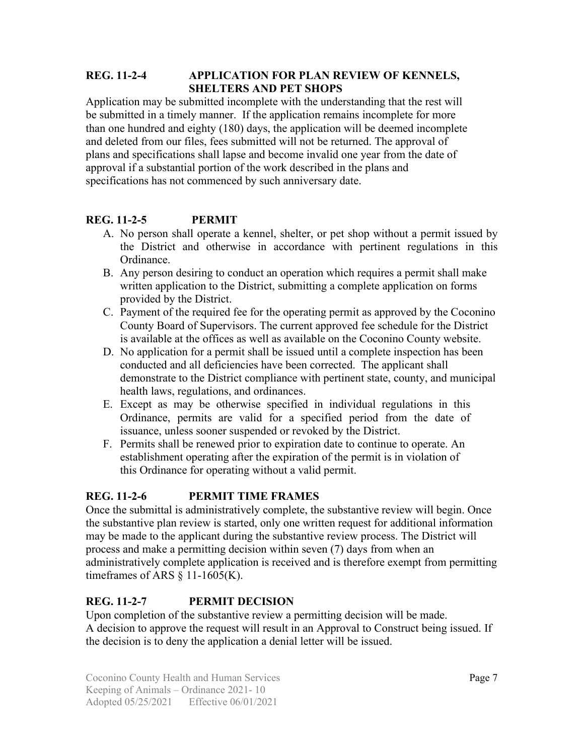### **REG. 11-2-4 APPLICATION FOR PLAN REVIEW OF KENNELS, SHELTERS AND PET SHOPS**

Application may be submitted incomplete with the understanding that the rest will be submitted in a timely manner. If the application remains incomplete for more than one hundred and eighty (180) days, the application will be deemed incomplete and deleted from our files, fees submitted will not be returned. The approval of plans and specifications shall lapse and become invalid one year from the date of approval if a substantial portion of the work described in the plans and specifications has not commenced by such anniversary date.

# **REG. 11-2-5 PERMIT**

- A. No person shall operate a kennel, shelter, or pet shop without a permit issued by the District and otherwise in accordance with pertinent regulations in this Ordinance.
- B. Any person desiring to conduct an operation which requires a permit shall make written application to the District, submitting a complete application on forms provided by the District.
- C. Payment of the required fee for the operating permit as approved by the Coconino County Board of Supervisors. The current approved fee schedule for the District is available at the offices as well as available on the Coconino County website.
- D. No application for a permit shall be issued until a complete inspection has been conducted and all deficiencies have been corrected. The applicant shall demonstrate to the District compliance with pertinent state, county, and municipal health laws, regulations, and ordinances.
- E. Except as may be otherwise specified in individual regulations in this Ordinance, permits are valid for a specified period from the date of issuance, unless sooner suspended or revoked by the District.
- F. Permits shall be renewed prior to expiration date to continue to operate. An establishment operating after the expiration of the permit is in violation of this Ordinance for operating without a valid permit.

## **REG. 11-2-6 PERMIT TIME FRAMES**

Once the submittal is administratively complete, the substantive review will begin. Once the substantive plan review is started, only one written request for additional information may be made to the applicant during the substantive review process. The District will process and make a permitting decision within seven (7) days from when an administratively complete application is received and is therefore exempt from permitting time frames of ARS  $\S$  11-1605(K).

## **REG. 11-2-7 PERMIT DECISION**

Upon completion of the substantive review a permitting decision will be made. A decision to approve the request will result in an Approval to Construct being issued. If the decision is to deny the application a denial letter will be issued.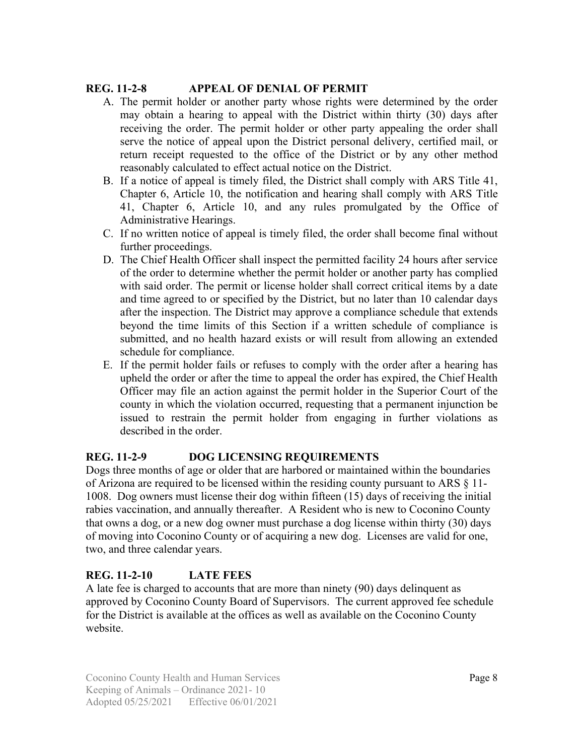### **REG. 11-2-8 APPEAL OF DENIAL OF PERMIT**

- A. The permit holder or another party whose rights were determined by the order may obtain a hearing to appeal with the District within thirty (30) days after receiving the order. The permit holder or other party appealing the order shall serve the notice of appeal upon the District personal delivery, certified mail, or return receipt requested to the office of the District or by any other method reasonably calculated to effect actual notice on the District.
- B. If a notice of appeal is timely filed, the District shall comply with ARS Title 41, Chapter 6, Article 10, the notification and hearing shall comply with ARS Title 41, Chapter 6, Article 10, and any rules promulgated by the Office of Administrative Hearings.
- C. If no written notice of appeal is timely filed, the order shall become final without further proceedings.
- D. The Chief Health Officer shall inspect the permitted facility 24 hours after service of the order to determine whether the permit holder or another party has complied with said order. The permit or license holder shall correct critical items by a date and time agreed to or specified by the District, but no later than 10 calendar days after the inspection. The District may approve a compliance schedule that extends beyond the time limits of this Section if a written schedule of compliance is submitted, and no health hazard exists or will result from allowing an extended schedule for compliance.
- E. If the permit holder fails or refuses to comply with the order after a hearing has upheld the order or after the time to appeal the order has expired, the Chief Health Officer may file an action against the permit holder in the Superior Court of the county in which the violation occurred, requesting that a permanent injunction be issued to restrain the permit holder from engaging in further violations as described in the order.

## **REG. 11-2-9 DOG LICENSING REQUIREMENTS**

Dogs three months of age or older that are harbored or maintained within the boundaries of Arizona are required to be licensed within the residing county pursuant to ARS § 11- 1008. Dog owners must license their dog within fifteen (15) days of receiving the initial rabies vaccination, and annually thereafter. A Resident who is new to Coconino County that owns a dog, or a new dog owner must purchase a dog license within thirty (30) days of moving into Coconino County or of acquiring a new dog. Licenses are valid for one, two, and three calendar years.

## **REG. 11-2-10 LATE FEES**

A late fee is charged to accounts that are more than ninety (90) days delinquent as approved by Coconino County Board of Supervisors. The current approved fee schedule for the District is available at the offices as well as available on the Coconino County website.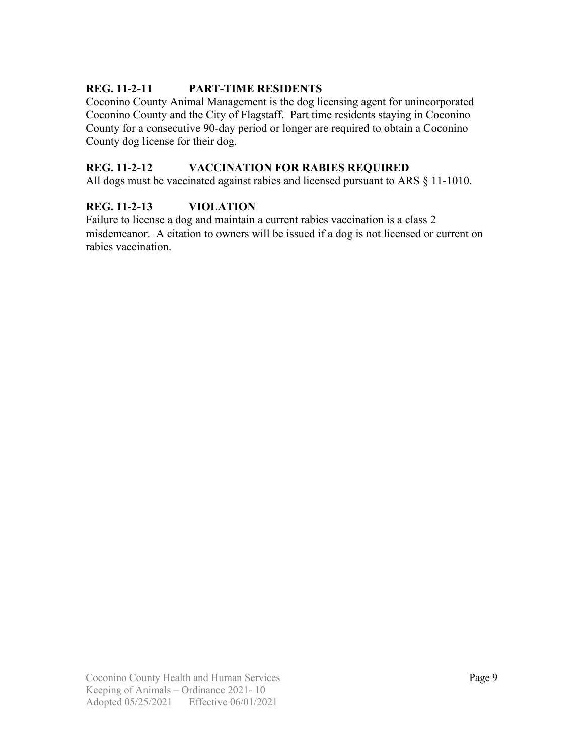## **REG. 11-2-11 PART-TIME RESIDENTS**

Coconino County Animal Management is the dog licensing agent for unincorporated Coconino County and the City of Flagstaff. Part time residents staying in Coconino County for a consecutive 90-day period or longer are required to obtain a Coconino County dog license for their dog.

#### **REG. 11-2-12 VACCINATION FOR RABIES REQUIRED**

All dogs must be vaccinated against rabies and licensed pursuant to ARS § 11-1010.

#### **REG. 11-2-13 VIOLATION**

Failure to license a dog and maintain a current rabies vaccination is a class 2 misdemeanor. A citation to owners will be issued if a dog is not licensed or current on rabies vaccination.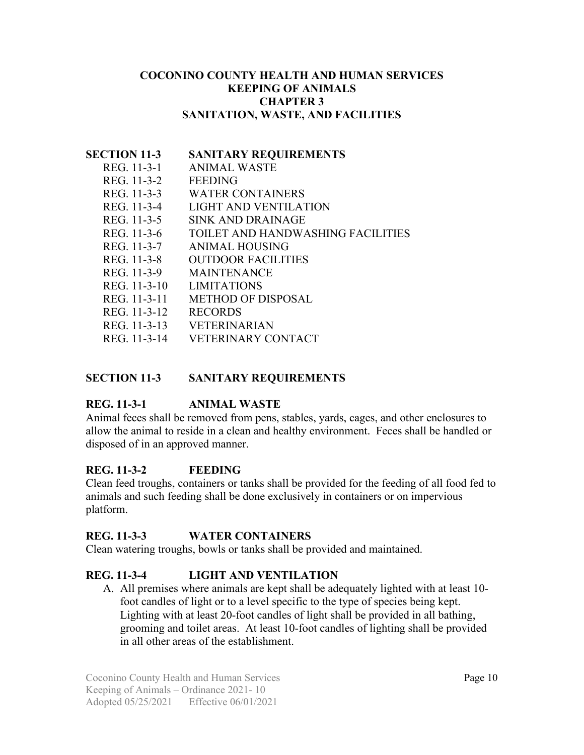#### **COCONINO COUNTY HEALTH AND HUMAN SERVICES KEEPING OF ANIMALS CHAPTER 3 SANITATION, WASTE, AND FACILITIES**

#### **SECTION 11-3 SANITARY REQUIREMENTS**

| REG. 11-3-1  | <b>ANIMAL WASTE</b>               |
|--------------|-----------------------------------|
| REG. 11-3-2  | <b>FEEDING</b>                    |
| REG. 11-3-3  | <b>WATER CONTAINERS</b>           |
| REG. 11-3-4  | LIGHT AND VENTILATION             |
| REG. 11-3-5  | SINK AND DRAINAGE                 |
| REG. 11-3-6  | TOILET AND HANDWASHING FACILITIES |
| REG. 11-3-7  | <b>ANIMAL HOUSING</b>             |
| REG. 11-3-8  | <b>OUTDOOR FACILITIES</b>         |
| REG. 11-3-9  | <b>MAINTENANCE</b>                |
| REG. 11-3-10 | <b>LIMITATIONS</b>                |
| REG. 11-3-11 | <b>METHOD OF DISPOSAL</b>         |
| REG. 11-3-12 | <b>RECORDS</b>                    |
| REG. 11-3-13 | <b>VETERINARIAN</b>               |
| REG. 11-3-14 | <b>VETERINARY CONTACT</b>         |
|              |                                   |

### **SECTION 11-3 SANITARY REQUIREMENTS**

## **REG. 11-3-1 ANIMAL WASTE**

Animal feces shall be removed from pens, stables, yards, cages, and other enclosures to allow the animal to reside in a clean and healthy environment. Feces shall be handled or disposed of in an approved manner.

#### **REG. 11-3-2 FEEDING**

Clean feed troughs, containers or tanks shall be provided for the feeding of all food fed to animals and such feeding shall be done exclusively in containers or on impervious platform.

#### **REG. 11-3-3 WATER CONTAINERS**

Clean watering troughs, bowls or tanks shall be provided and maintained.

## **REG. 11-3-4 LIGHT AND VENTILATION**

A. All premises where animals are kept shall be adequately lighted with at least 10 foot candles of light or to a level specific to the type of species being kept. Lighting with at least 20-foot candles of light shall be provided in all bathing, grooming and toilet areas. At least 10-foot candles of lighting shall be provided in all other areas of the establishment.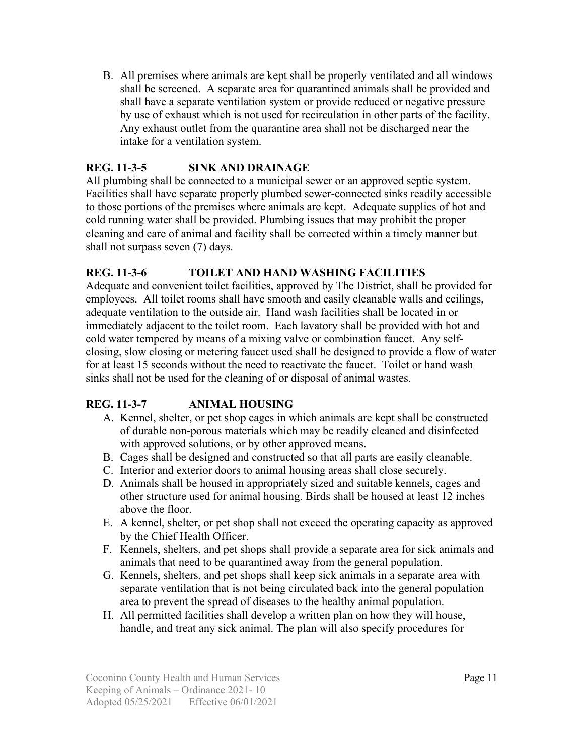B. All premises where animals are kept shall be properly ventilated and all windows shall be screened. A separate area for quarantined animals shall be provided and shall have a separate ventilation system or provide reduced or negative pressure by use of exhaust which is not used for recirculation in other parts of the facility. Any exhaust outlet from the quarantine area shall not be discharged near the intake for a ventilation system.

## **REG. 11-3-5 SINK AND DRAINAGE**

All plumbing shall be connected to a municipal sewer or an approved septic system. Facilities shall have separate properly plumbed sewer-connected sinks readily accessible to those portions of the premises where animals are kept. Adequate supplies of hot and cold running water shall be provided. Plumbing issues that may prohibit the proper cleaning and care of animal and facility shall be corrected within a timely manner but shall not surpass seven (7) days.

## **REG. 11-3-6 TOILET AND HAND WASHING FACILITIES**

Adequate and convenient toilet facilities, approved by The District, shall be provided for employees. All toilet rooms shall have smooth and easily cleanable walls and ceilings, adequate ventilation to the outside air. Hand wash facilities shall be located in or immediately adjacent to the toilet room. Each lavatory shall be provided with hot and cold water tempered by means of a mixing valve or combination faucet. Any selfclosing, slow closing or metering faucet used shall be designed to provide a flow of water for at least 15 seconds without the need to reactivate the faucet. Toilet or hand wash sinks shall not be used for the cleaning of or disposal of animal wastes.

## **REG. 11-3-7 ANIMAL HOUSING**

- A. Kennel, shelter, or pet shop cages in which animals are kept shall be constructed of durable non-porous materials which may be readily cleaned and disinfected with approved solutions, or by other approved means.
- B. Cages shall be designed and constructed so that all parts are easily cleanable.
- C. Interior and exterior doors to animal housing areas shall close securely.
- D. Animals shall be housed in appropriately sized and suitable kennels, cages and other structure used for animal housing. Birds shall be housed at least 12 inches above the floor.
- E. A kennel, shelter, or pet shop shall not exceed the operating capacity as approved by the Chief Health Officer.
- F. Kennels, shelters, and pet shops shall provide a separate area for sick animals and animals that need to be quarantined away from the general population.
- G. Kennels, shelters, and pet shops shall keep sick animals in a separate area with separate ventilation that is not being circulated back into the general population area to prevent the spread of diseases to the healthy animal population.
- H. All permitted facilities shall develop a written plan on how they will house, handle, and treat any sick animal. The plan will also specify procedures for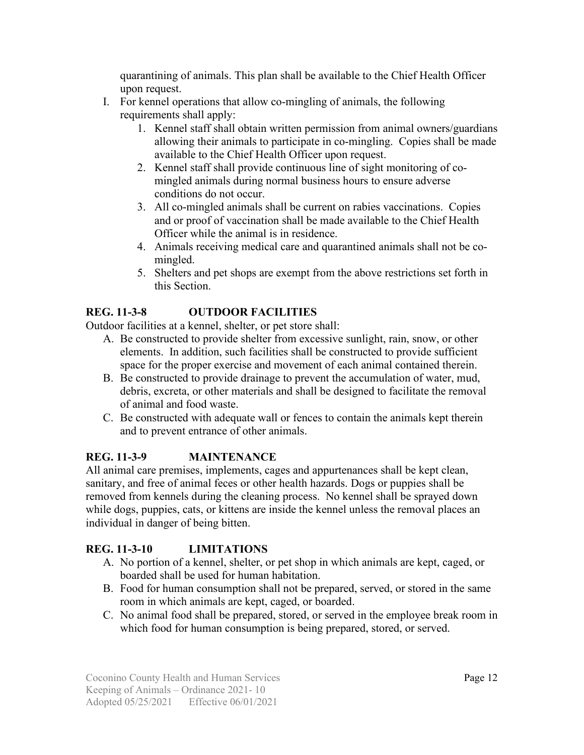quarantining of animals. This plan shall be available to the Chief Health Officer upon request.

- I. For kennel operations that allow co-mingling of animals, the following requirements shall apply:
	- 1. Kennel staff shall obtain written permission from animal owners/guardians allowing their animals to participate in co-mingling. Copies shall be made available to the Chief Health Officer upon request.
	- 2. Kennel staff shall provide continuous line of sight monitoring of comingled animals during normal business hours to ensure adverse conditions do not occur.
	- 3. All co-mingled animals shall be current on rabies vaccinations. Copies and or proof of vaccination shall be made available to the Chief Health Officer while the animal is in residence.
	- 4. Animals receiving medical care and quarantined animals shall not be comingled.
	- 5. Shelters and pet shops are exempt from the above restrictions set forth in this Section.

# **REG. 11-3-8 OUTDOOR FACILITIES**

Outdoor facilities at a kennel, shelter, or pet store shall:

- A. Be constructed to provide shelter from excessive sunlight, rain, snow, or other elements. In addition, such facilities shall be constructed to provide sufficient space for the proper exercise and movement of each animal contained therein.
- B. Be constructed to provide drainage to prevent the accumulation of water, mud, debris, excreta, or other materials and shall be designed to facilitate the removal of animal and food waste.
- C. Be constructed with adequate wall or fences to contain the animals kept therein and to prevent entrance of other animals.

# **REG. 11-3-9 MAINTENANCE**

All animal care premises, implements, cages and appurtenances shall be kept clean, sanitary, and free of animal feces or other health hazards. Dogs or puppies shall be removed from kennels during the cleaning process. No kennel shall be sprayed down while dogs, puppies, cats, or kittens are inside the kennel unless the removal places an individual in danger of being bitten.

# **REG. 11-3-10 LIMITATIONS**

- A. No portion of a kennel, shelter, or pet shop in which animals are kept, caged, or boarded shall be used for human habitation.
- B. Food for human consumption shall not be prepared, served, or stored in the same room in which animals are kept, caged, or boarded.
- C. No animal food shall be prepared, stored, or served in the employee break room in which food for human consumption is being prepared, stored, or served.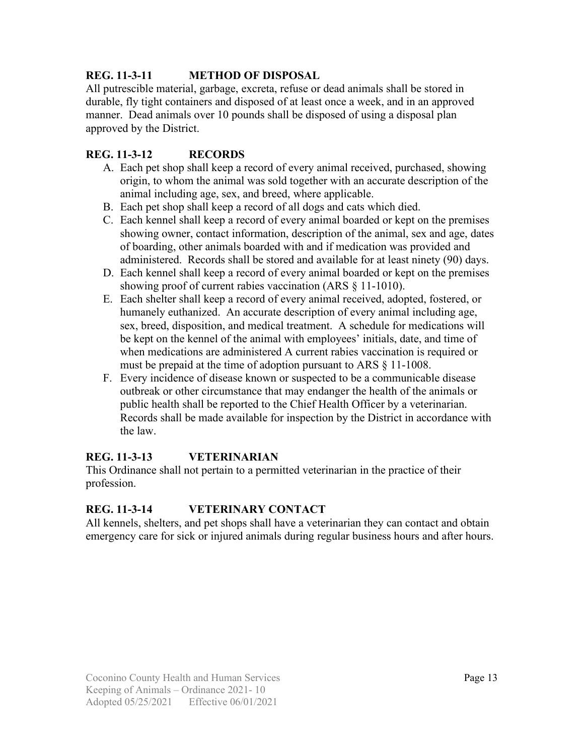## **REG. 11-3-11 METHOD OF DISPOSAL**

All putrescible material, garbage, excreta, refuse or dead animals shall be stored in durable, fly tight containers and disposed of at least once a week, and in an approved manner. Dead animals over 10 pounds shall be disposed of using a disposal plan approved by the District.

## **REG. 11-3-12 RECORDS**

- A. Each pet shop shall keep a record of every animal received, purchased, showing origin, to whom the animal was sold together with an accurate description of the animal including age, sex, and breed, where applicable.
- B. Each pet shop shall keep a record of all dogs and cats which died.
- C. Each kennel shall keep a record of every animal boarded or kept on the premises showing owner, contact information, description of the animal, sex and age, dates of boarding, other animals boarded with and if medication was provided and administered. Records shall be stored and available for at least ninety (90) days.
- D. Each kennel shall keep a record of every animal boarded or kept on the premises showing proof of current rabies vaccination (ARS § 11-1010).
- E. Each shelter shall keep a record of every animal received, adopted, fostered, or humanely euthanized. An accurate description of every animal including age, sex, breed, disposition, and medical treatment. A schedule for medications will be kept on the kennel of the animal with employees' initials, date, and time of when medications are administered A current rabies vaccination is required or must be prepaid at the time of adoption pursuant to ARS § 11-1008.
- F. Every incidence of disease known or suspected to be a communicable disease outbreak or other circumstance that may endanger the health of the animals or public health shall be reported to the Chief Health Officer by a veterinarian. Records shall be made available for inspection by the District in accordance with the law.

# **REG. 11-3-13 VETERINARIAN**

This Ordinance shall not pertain to a permitted veterinarian in the practice of their profession.

# **REG. 11-3-14 VETERINARY CONTACT**

All kennels, shelters, and pet shops shall have a veterinarian they can contact and obtain emergency care for sick or injured animals during regular business hours and after hours.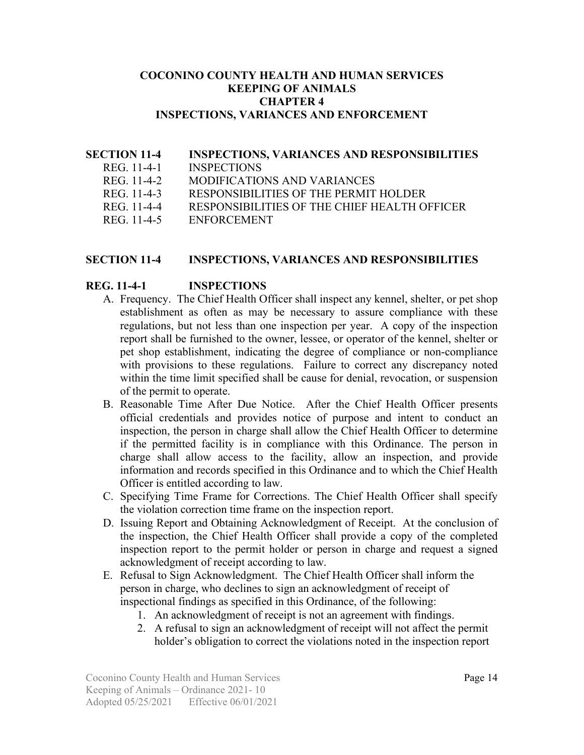#### **COCONINO COUNTY HEALTH AND HUMAN SERVICES KEEPING OF ANIMALS CHAPTER 4 INSPECTIONS, VARIANCES AND ENFORCEMENT**

### **SECTION 11-4 INSPECTIONS, VARIANCES AND RESPONSIBILITIES**

- REG. 11-4-1 INSPECTIONS<br>REG. 11-4-2 MODIFICATIO
- **MODIFICATIONS AND VARIANCES**
- REG. 11-4-3 RESPONSIBILITIES OF THE PERMIT HOLDER
- REG. 11-4-4 RESPONSIBILITIES OF THE CHIEF HEALTH OFFICER
- REG. 11-4-5 ENFORCEMENT

#### **SECTION 11-4 INSPECTIONS, VARIANCES AND RESPONSIBILITIES**

#### **REG. 11-4-1 INSPECTIONS**

- A. Frequency. The Chief Health Officer shall inspect any kennel, shelter, or pet shop establishment as often as may be necessary to assure compliance with these regulations, but not less than one inspection per year. A copy of the inspection report shall be furnished to the owner, lessee, or operator of the kennel, shelter or pet shop establishment, indicating the degree of compliance or non-compliance with provisions to these regulations. Failure to correct any discrepancy noted within the time limit specified shall be cause for denial, revocation, or suspension of the permit to operate.
- B. Reasonable Time After Due Notice. After the Chief Health Officer presents official credentials and provides notice of purpose and intent to conduct an inspection, the person in charge shall allow the Chief Health Officer to determine if the permitted facility is in compliance with this Ordinance. The person in charge shall allow access to the facility, allow an inspection, and provide information and records specified in this Ordinance and to which the Chief Health Officer is entitled according to law.
- C. Specifying Time Frame for Corrections. The Chief Health Officer shall specify the violation correction time frame on the inspection report.
- D. Issuing Report and Obtaining Acknowledgment of Receipt. At the conclusion of the inspection, the Chief Health Officer shall provide a copy of the completed inspection report to the permit holder or person in charge and request a signed acknowledgment of receipt according to law.
- E. Refusal to Sign Acknowledgment. The Chief Health Officer shall inform the person in charge, who declines to sign an acknowledgment of receipt of inspectional findings as specified in this Ordinance, of the following:
	- 1. An acknowledgment of receipt is not an agreement with findings.
	- 2. A refusal to sign an acknowledgment of receipt will not affect the permit holder's obligation to correct the violations noted in the inspection report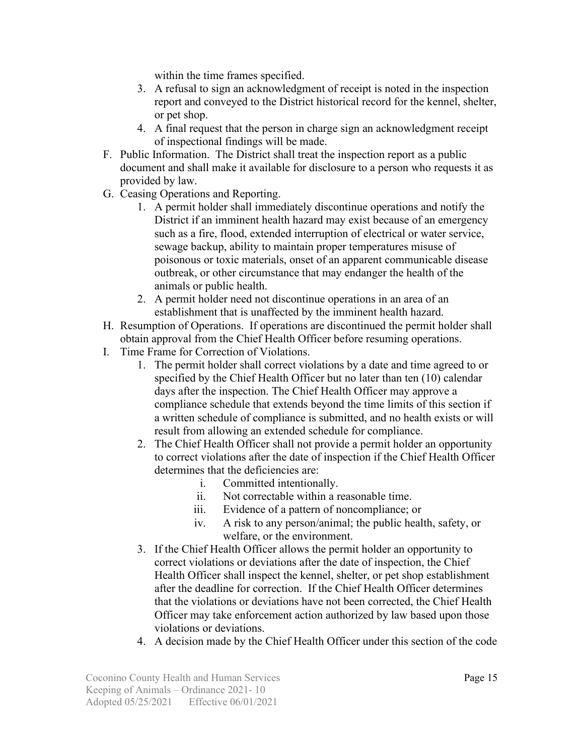within the time frames specified.

- 3. A refusal to sign an acknowledgment of receipt is noted in the inspection report and conveyed to the District historical record for the kennel, shelter, or pet shop.
- 4. A final request that the person in charge sign an acknowledgment receipt of inspectional findings will be made.
- F. Public Information. The District shall treat the inspection report as a public document and shall make it available for disclosure to a person who requests it as provided by law.
- G. Ceasing Operations and Reporting.
	- 1. A permit holder shall immediately discontinue operations and notify the District if an imminent health hazard may exist because of an emergency such as a fire, flood, extended interruption of electrical or water service, sewage backup, ability to maintain proper temperatures misuse of poisonous or toxic materials, onset of an apparent communicable disease outbreak, or other circumstance that may endanger the health of the animals or public health.
	- 2. A permit holder need not discontinue operations in an area of an establishment that is unaffected by the imminent health hazard.
- H. Resumption of Operations. If operations are discontinued the permit holder shall obtain approval from the Chief Health Officer before resuming operations.
- I. Time Frame for Correction of Violations.
	- 1. The permit holder shall correct violations by a date and time agreed to or specified by the Chief Health Officer but no later than ten (10) calendar days after the inspection. The Chief Health Officer may approve a compliance schedule that extends beyond the time limits of this section if a written schedule of compliance is submitted, and no health exists or will result from allowing an extended schedule for compliance.
	- 2. The Chief Health Officer shall not provide a permit holder an opportunity to correct violations after the date of inspection if the Chief Health Officer determines that the deficiencies are:
		- i. Committed intentionally.
		- ii. Not correctable within a reasonable time.
		- iii. Evidence of a pattern of noncompliance; or
		- iv. A risk to any person/animal; the public health, safety, or welfare, or the environment.
	- 3. If the Chief Health Officer allows the permit holder an opportunity to correct violations or deviations after the date of inspection, the Chief Health Officer shall inspect the kennel, shelter, or pet shop establishment after the deadline for correction. If the Chief Health Officer determines that the violations or deviations have not been corrected, the Chief Health Officer may take enforcement action authorized by law based upon those violations or deviations.
	- 4. A decision made by the Chief Health Officer under this section of the code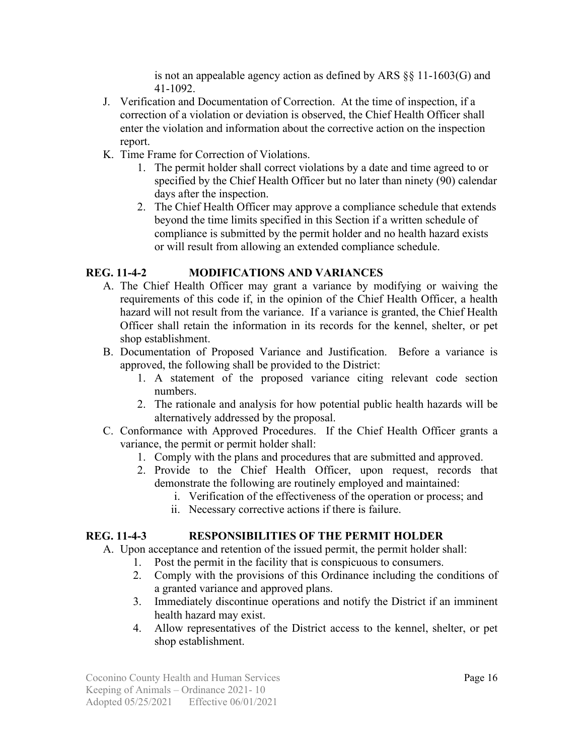is not an appealable agency action as defined by ARS §§ 11-1603(G) and 41-1092.

- J. Verification and Documentation of Correction. At the time of inspection, if a correction of a violation or deviation is observed, the Chief Health Officer shall enter the violation and information about the corrective action on the inspection report.
- K. Time Frame for Correction of Violations.
	- 1. The permit holder shall correct violations by a date and time agreed to or specified by the Chief Health Officer but no later than ninety (90) calendar days after the inspection.
	- 2. The Chief Health Officer may approve a compliance schedule that extends beyond the time limits specified in this Section if a written schedule of compliance is submitted by the permit holder and no health hazard exists or will result from allowing an extended compliance schedule.

## **REG. 11-4-2 MODIFICATIONS AND VARIANCES**

- A. The Chief Health Officer may grant a variance by modifying or waiving the requirements of this code if, in the opinion of the Chief Health Officer, a health hazard will not result from the variance. If a variance is granted, the Chief Health Officer shall retain the information in its records for the kennel, shelter, or pet shop establishment.
- B. Documentation of Proposed Variance and Justification. Before a variance is approved, the following shall be provided to the District:
	- 1. A statement of the proposed variance citing relevant code section numbers.
	- 2. The rationale and analysis for how potential public health hazards will be alternatively addressed by the proposal.
- C. Conformance with Approved Procedures. If the Chief Health Officer grants a variance, the permit or permit holder shall:
	- 1. Comply with the plans and procedures that are submitted and approved.
	- 2. Provide to the Chief Health Officer, upon request, records that demonstrate the following are routinely employed and maintained:
		- i. Verification of the effectiveness of the operation or process; and
		- ii. Necessary corrective actions if there is failure.

## **REG. 11-4-3 RESPONSIBILITIES OF THE PERMIT HOLDER**

- A. Upon acceptance and retention of the issued permit, the permit holder shall:
	- 1. Post the permit in the facility that is conspicuous to consumers.
	- 2. Comply with the provisions of this Ordinance including the conditions of a granted variance and approved plans.
	- 3. Immediately discontinue operations and notify the District if an imminent health hazard may exist.
	- 4. Allow representatives of the District access to the kennel, shelter, or pet shop establishment.